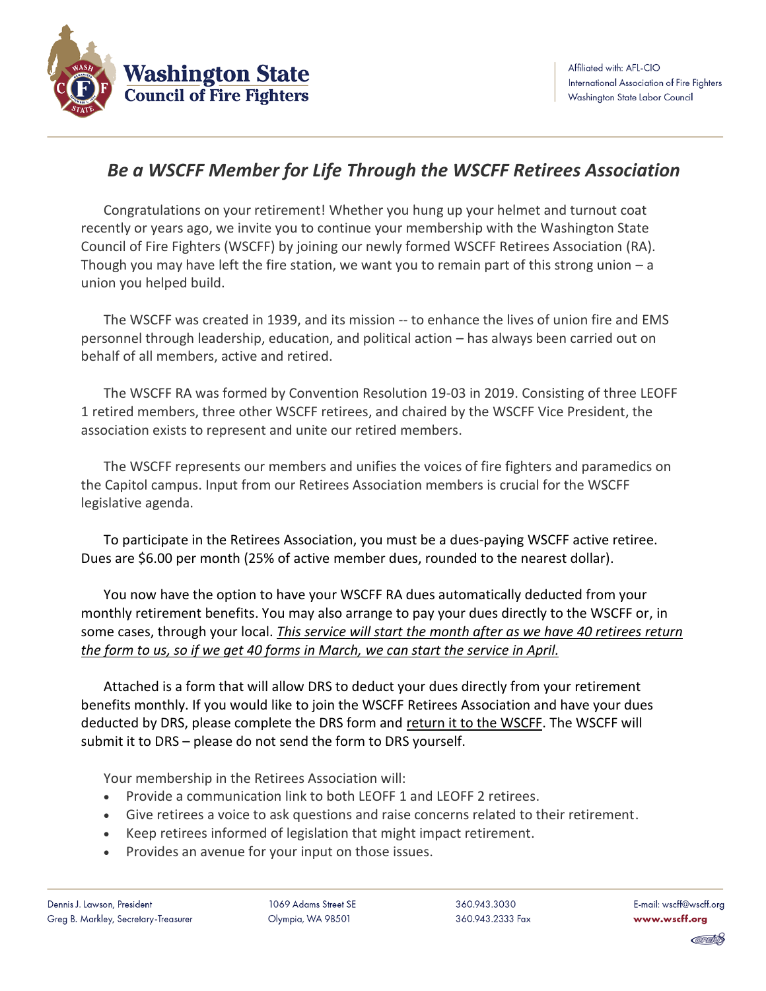

## *Be a WSCFF Member for Life Through the WSCFF Retirees Association*

Congratulations on your retirement! Whether you hung up your helmet and turnout coat recently or years ago, we invite you to continue your membership with the Washington State Council of Fire Fighters (WSCFF) by joining our newly formed WSCFF Retirees Association (RA). Though you may have left the fire station, we want you to remain part of this strong union – a union you helped build.

The WSCFF was created in 1939, and its mission -- to enhance the lives of union fire and EMS personnel through leadership, education, and political action – has always been carried out on behalf of all members, active and retired.

The WSCFF RA was formed by Convention Resolution 19-03 in 2019. Consisting of three LEOFF 1 retired members, three other WSCFF retirees, and chaired by the WSCFF Vice President, the association exists to represent and unite our retired members.

The WSCFF represents our members and unifies the voices of fire fighters and paramedics on the Capitol campus. Input from our Retirees Association members is crucial for the WSCFF legislative agenda.

To participate in the Retirees Association, you must be a dues-paying WSCFF active retiree. Dues are \$6.00 per month (25% of active member dues, rounded to the nearest dollar).

You now have the option to have your WSCFF RA dues automatically deducted from your monthly retirement benefits. You may also arrange to pay your dues directly to the WSCFF or, in some cases, through your local. *This service will start the month after as we have 40 retirees return the form to us, so if we get 40 forms in March, we can start the service in April.* 

Attached is a form that will allow DRS to deduct your dues directly from your retirement benefits monthly. If you would like to join the WSCFF Retirees Association and have your dues deducted by DRS, please complete the DRS form and return it to the WSCFF. The WSCFF will submit it to DRS – please do not send the form to DRS yourself.

Your membership in the Retirees Association will:

- Provide a communication link to both LEOFF 1 and LEOFF 2 retirees.
- Give retirees a voice to ask questions and raise concerns related to their retirement.
- Keep retirees informed of legislation that might impact retirement.
- Provides an avenue for your input on those issues.